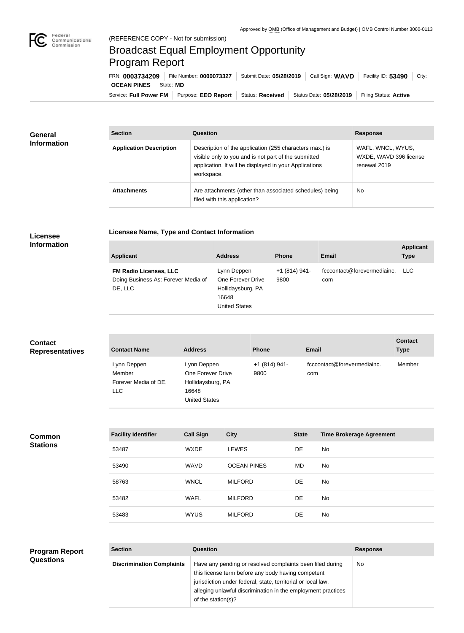

**COL** 

## Broadcast Equal Employment Opportunity Program Report

**Licensee Name, Type and Contact Information**

Service: Full Power FM Purpose: EEO Report | Status: Received | Status Date: 05/28/2019 | Filing Status: Active **OCEAN PINES** | State: MD FRN: **0003734209** File Number: **0000073327** Submit Date: **05/28/2019** Call Sign: **WAVD** Facility ID: **53490** City:

| <b>General</b><br><b>Information</b> | <b>Section</b>                 | Question                                                                                                                                                                                | <b>Response</b>                                             |  |
|--------------------------------------|--------------------------------|-----------------------------------------------------------------------------------------------------------------------------------------------------------------------------------------|-------------------------------------------------------------|--|
|                                      | <b>Application Description</b> | Description of the application (255 characters max.) is<br>visible only to you and is not part of the submitted<br>application. It will be displayed in your Applications<br>workspace. | WAFL, WNCL, WYUS,<br>WXDE, WAVD 396 license<br>renewal 2019 |  |
|                                      | <b>Attachments</b>             | Are attachments (other than associated schedules) being<br>filed with this application?                                                                                                 | <b>No</b>                                                   |  |

## **Licensee Information**

| <b>Applicant</b>                                                                | <b>Address</b>                                                                         | <b>Phone</b>          | <b>Email</b>                       | <b>Applicant</b><br><b>Type</b> |
|---------------------------------------------------------------------------------|----------------------------------------------------------------------------------------|-----------------------|------------------------------------|---------------------------------|
| <b>FM Radio Licenses, LLC</b><br>Doing Business As: Forever Media of<br>DE, LLC | Lynn Deppen<br>One Forever Drive<br>Hollidaysburg, PA<br>16648<br><b>United States</b> | +1 (814) 941-<br>9800 | fcccontact@forevermediainc.<br>com | LLC.                            |

## **Contact Representatives**

| <b>Contact Name</b>                                   | <b>Address</b>                                                                         | <b>Phone</b>          | Email                              | <b>Contact</b><br><b>Type</b> |
|-------------------------------------------------------|----------------------------------------------------------------------------------------|-----------------------|------------------------------------|-------------------------------|
| Lynn Deppen<br>Member<br>Forever Media of DE,<br>LLC. | Lynn Deppen<br>One Forever Drive<br>Hollidaysburg, PA<br>16648<br><b>United States</b> | $+1(814)941-$<br>9800 | fcccontact@forevermediainc.<br>com | Member                        |

**Common Stations**

| <b>Facility Identifier</b> | <b>Call Sign</b> | <b>City</b>        | <b>State</b> | <b>Time Brokerage Agreement</b> |
|----------------------------|------------------|--------------------|--------------|---------------------------------|
| 53487                      | <b>WXDE</b>      | <b>LEWES</b>       | DE           | No.                             |
| 53490                      | <b>WAVD</b>      | <b>OCEAN PINES</b> | MD           | No.                             |
| 58763                      | <b>WNCL</b>      | <b>MILFORD</b>     | DE           | No                              |
| 53482                      | <b>WAFL</b>      | <b>MILFORD</b>     | DE           | No                              |
| 53483                      | <b>WYUS</b>      | <b>MILFORD</b>     | DE           | No.                             |

## **Section Question Response Discrimination Complaints** | Have any pending or resolved complaints been filed during this license term before any body having competent jurisdiction under federal, state, territorial or local law, alleging unlawful discrimination in the employment practices of the station(s)? No **Program Report Questions**